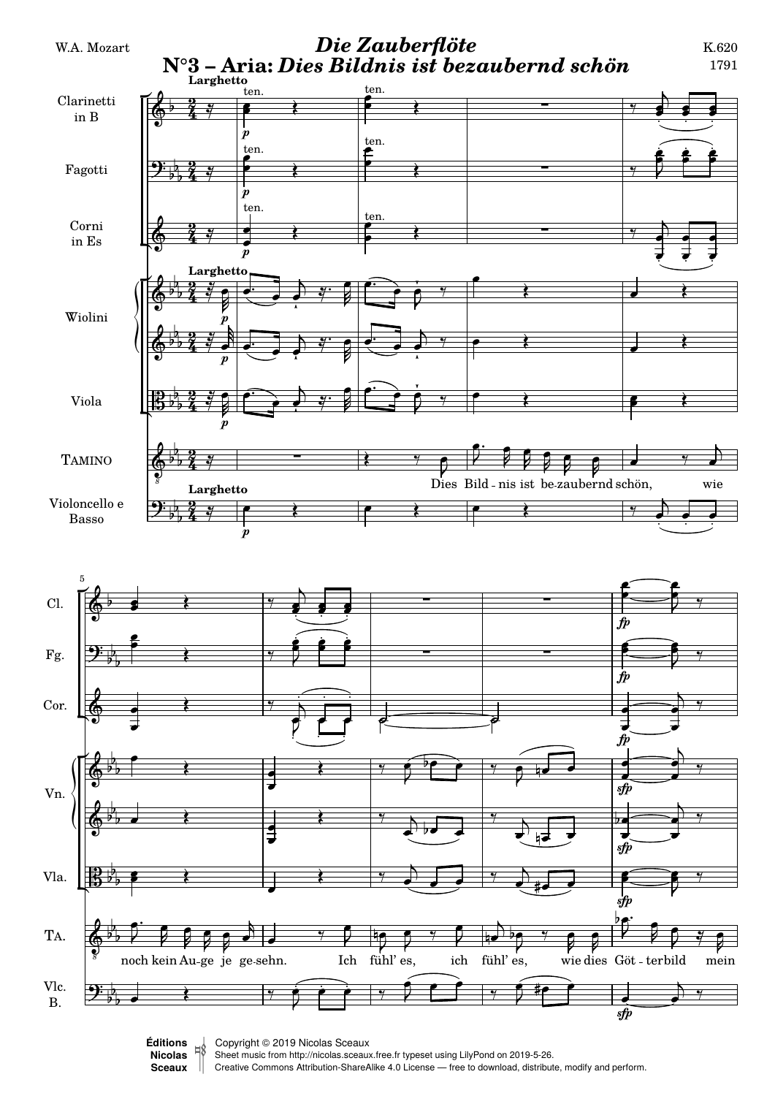

Sheet music from<http://nicolas.sceaux.free.fr> typeset using [LilyPond](http://lilypond.org) on 2019-5-26.

**[Nicolas](http://nicolas.sceaux.free.fr)ǀ** Creative Commons Attribution-ShareAlike 4.0 License — free to download, distribute, modify and perform. **[Sceaux](http://nicolas.sceaux.free.fr)ǀ**  $\mathbb{I}$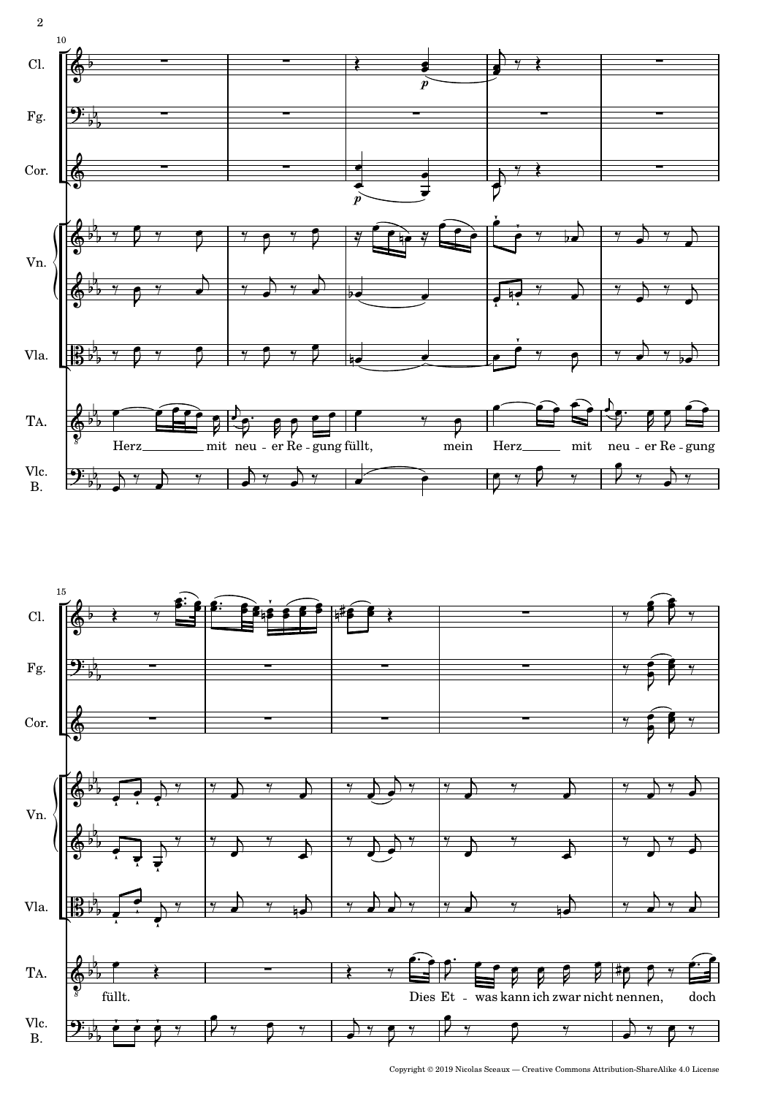



 $\textbf{Copyright} \textcircled{\small 2019} \textbf{ Nicolas} \textbf{ Sceaux} \textcolor{red}{---} \textbf{Create Commons} \textbf{Attribute} \textbf{.} \textbf{ShareAlike} \textbf{ 4.0 License}$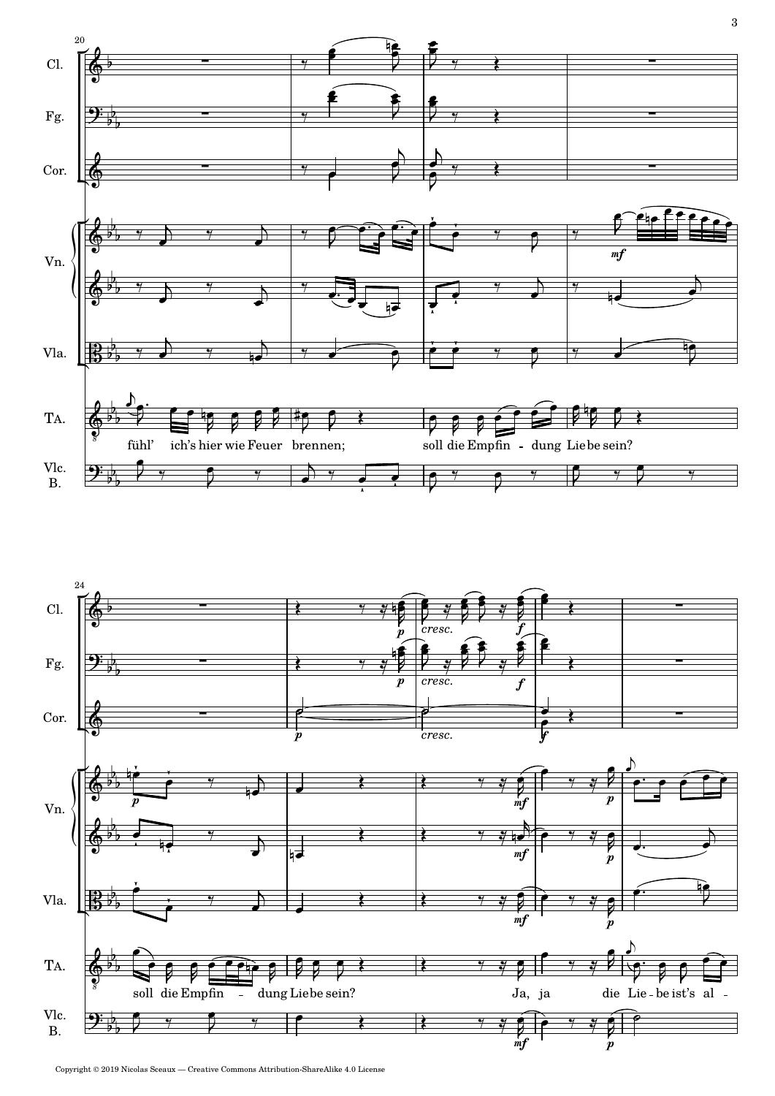



Copyright © 2019 Nicolas Sceaux — Creative Commons Attribution-ShareAlike 4.0 License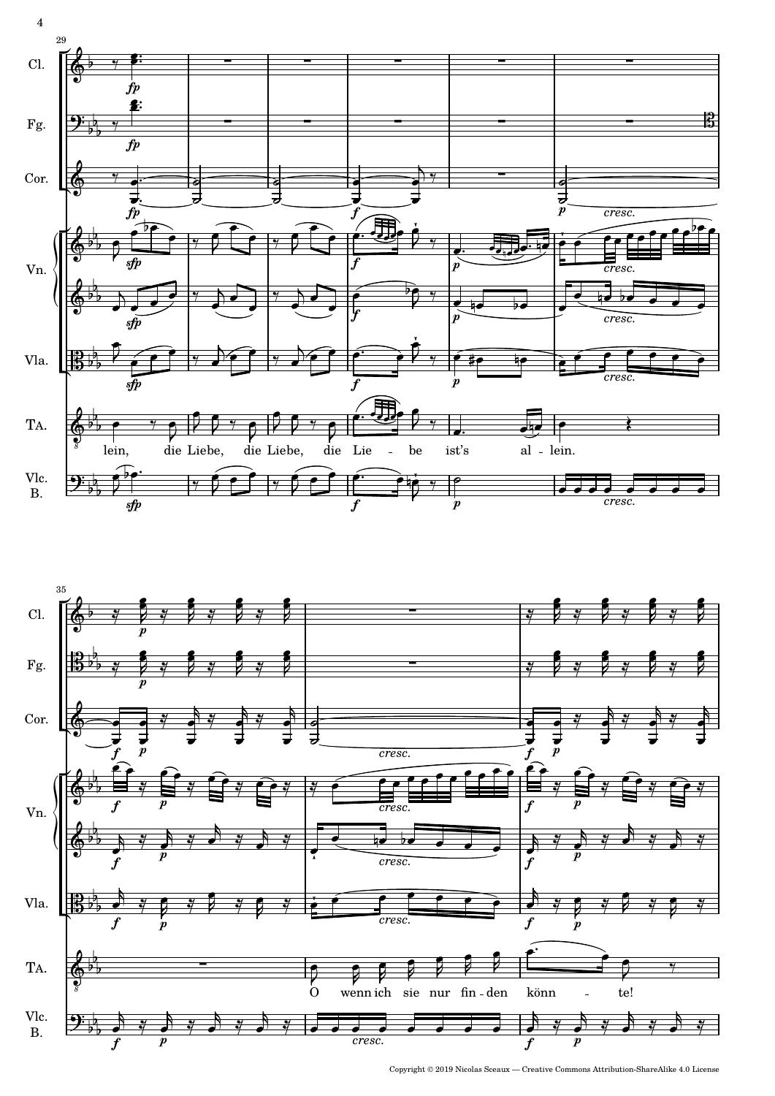



Copyright © 2019 Nicolas Sceaux — Creative Commons Attribution-ShareAlike 4.0 License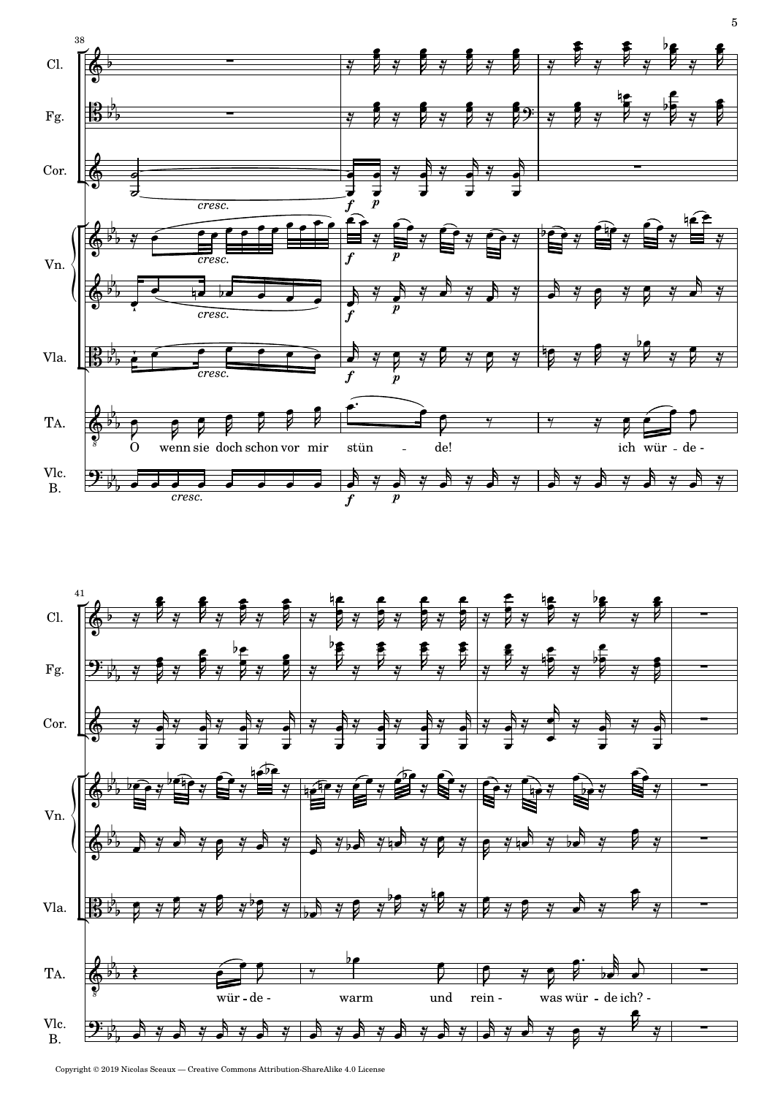

![](_page_4_Figure_1.jpeg)

Copyright © 2019 Nicolas Sceaux — Creative Commons Attribution-ShareAlike 4.0 License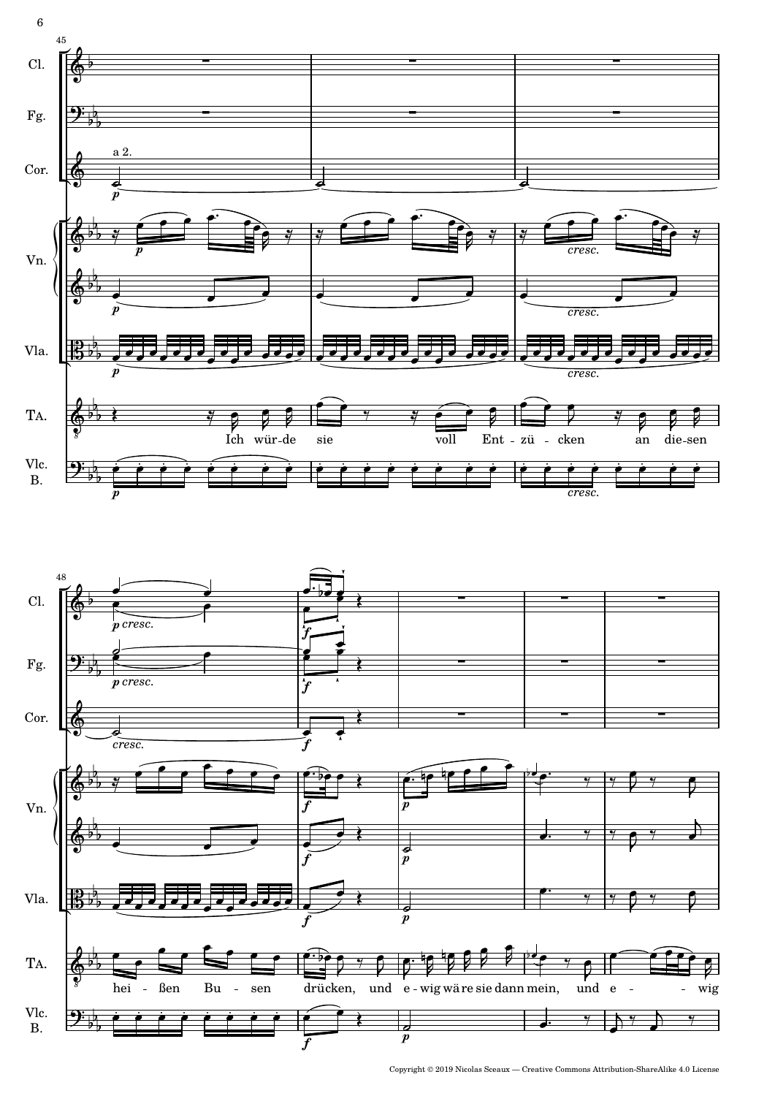![](_page_5_Figure_0.jpeg)

![](_page_5_Figure_1.jpeg)

 $\overline{6}$